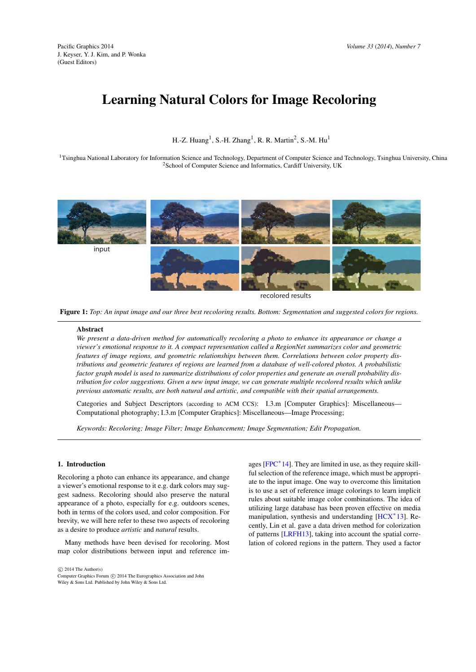# <span id="page-0-1"></span>Learning Natural Colors for Image Recoloring

H.-Z. Huang<sup>1</sup>, S.-H. Zhang<sup>1</sup>, R. R. Martin<sup>2</sup>, S.-M. Hu<sup>1</sup>

<sup>1</sup>Tsinghua National Laboratory for Information Science and Technology, Department of Computer Science and Technology, Tsinghua University, China <sup>2</sup>School of Computer Science and Informatics, Cardiff University, UK



recolored results

Figure 1: *Top: An input image and our three best recoloring results. Bottom: Segmentation and suggested colors for regions.*

## <span id="page-0-0"></span>Abstract

*We present a data-driven method for automatically recoloring a photo to enhance its appearance or change a viewer's emotional response to it. A compact representation called a RegionNet summarizes color and geometric features of image regions, and geometric relationships between them. Correlations between color property distributions and geometric features of regions are learned from a database of well-colored photos. A probabilistic factor graph model is used to summarize distributions of color properties and generate an overall probability distribution for color suggestions. Given a new input image, we can generate multiple recolored results which unlike previous automatic results, are both natural and artistic, and compatible with their spatial arrangements.*

Categories and Subject Descriptors (according to ACM CCS): I.3.m [Computer Graphics]: Miscellaneous— Computational photography; I.3.m [Computer Graphics]: Miscellaneous—Image Processing;

*Keywords: Recoloring; Image Filter; Image Enhancement; Image Segmentation; Edit Propagation.*

#### 1. Introduction

Recoloring a photo can enhance its appearance, and change a viewer's emotional response to it e.g. dark colors may suggest sadness. Recoloring should also preserve the natural appearance of a photo, especially for e.g. outdoors scenes, both in terms of the colors used, and color composition. For brevity, we will here refer to these two aspects of recoloring as a desire to produce *artistic* and *natural* results.

Many methods have been devised for recoloring. Most map color distributions between input and reference im-

 $\odot$  2014 The Author(s) Computer Graphics Forum  $\odot$  2014 The Eurographics Association and John Wiley & Sons Ltd. Published by John Wiley & Sons Ltd.

ages [\[FPC](#page-9-0)<sup>\*</sup>14]. They are limited in use, as they require skillful selection of the reference image, which must be appropriate to the input image. One way to overcome this limitation is to use a set of reference image colorings to learn implicit rules about suitable image color combinations. The idea of utilizing large database has been proven effective on media manipulation, synthesis and understanding [\[HCX](#page-9-1)<sup>\*</sup>13]. Recently, Lin et al. gave a data driven method for colorization of patterns [\[LRFH13\]](#page-9-2), taking into account the spatial correlation of colored regions in the pattern. They used a factor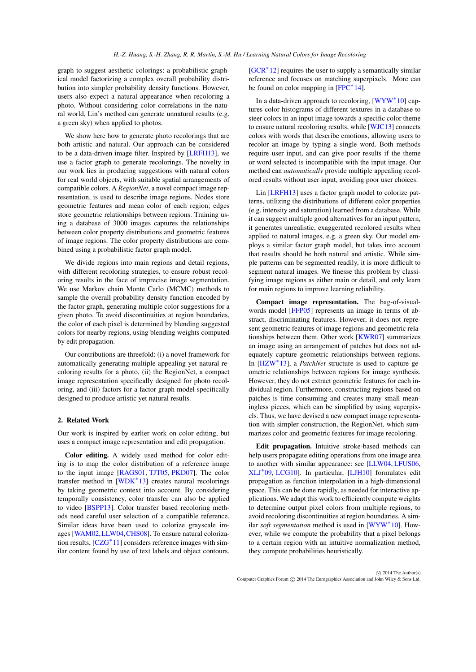<span id="page-1-0"></span>graph to suggest aesthetic colorings: a probabilistic graphical model factorizing a complex overall probability distribution into simpler probability density functions. However, users also expect a natural appearance when recoloring a photo. Without considering color correlations in the natural world, Lin's method can generate unnatural results (e.g. a green sky) when applied to photos.

We show here how to generate photo recolorings that are both artistic and natural. Our approach can be considered to be a data-driven image filter. Inspired by [\[LRFH13\]](#page-9-2), we use a factor graph to generate recolorings. The novelty in our work lies in producing suggestions with natural colors for real world objects, with suitable spatial arrangements of compatible colors. A *RegionNet*, a novel compact image representation, is used to describe image regions. Nodes store geometric features and mean color of each region; edges store geometric relationships between regions. Training using a database of 3000 images captures the relationships between color property distributions and geometric features of image regions. The color property distributions are combined using a probabilistic factor graph model.

We divide regions into main regions and detail regions, with different recoloring strategies, to ensure robust recoloring results in the face of imprecise image segmentation. We use Markov chain Monte Carlo (MCMC) methods to sample the overall probability density function encoded by the factor graph, generating multiple color suggestions for a given photo. To avoid discontinuities at region boundaries, the color of each pixel is determined by blending suggested colors for nearby regions, using blending weights computed by edit propagation.

Our contributions are threefold: (i) a novel framework for automatically generating multiple appealing yet natural recoloring results for a photo, (ii) the RegionNet, a compact image representation specifically designed for photo recoloring, and (iii) factors for a factor graph model specifically designed to produce artistic yet natural results.

## 2. Related Work

Our work is inspired by earlier work on color editing, but uses a compact image representation and edit propagation.

Color editing. A widely used method for color editing is to map the color distribution of a reference image to the input image [\[RAGS01,](#page-9-3) [TJT05,](#page-9-4) [PKD07\]](#page-9-5). The color transfer method in [\[WDK](#page-9-6)<sup>\*13]</sup> creates natural recolorings by taking geometric context into account. By considering temporally consistency, color transfer can also be applied to video [\[BSPP13\]](#page-9-7). Color transfer based recoloring methods need careful user selection of a compatible reference. Similar ideas have been used to colorize grayscale images [\[WAM02,](#page-9-8)[LLW04,](#page-9-9)[CHS08\]](#page-9-10). To ensure natural coloriza-tion results, [\[CZG](#page-9-11)<sup>\*</sup>11] considers reference images with similar content found by use of text labels and object contours.

[\[GCR](#page-9-12)<sup>\*</sup>12] requires the user to supply a semantically similar reference and focuses on matching superpixels. More can be found on color mapping in  $[FPC^*14]$  $[FPC^*14]$ .

In a data-driven approach to recoloring, [\[WYW](#page-9-13)<sup>∗</sup>10] captures color histograms of different textures in a database to steer colors in an input image towards a specific color theme to ensure natural recoloring results, while [\[WJC13\]](#page-9-14) connects colors with words that describe emotions, allowing users to recolor an image by typing a single word. Both methods require user input, and can give poor results if the theme or word selected is incompatible with the input image. Our method can *automatically* provide multiple appealing recolored results without user input, avoiding poor user choices.

Lin [\[LRFH13\]](#page-9-2) uses a factor graph model to colorize patterns, utilizing the distributions of different color properties (e.g. intensity and saturation) learned from a database. While it can suggest multiple good alternatives for an input pattern, it generates unrealistic, exaggerated recolored results when applied to natural images, e.g. a green sky. Our model employs a similar factor graph model, but takes into account that results should be both natural and artistic. While simple patterns can be segmented readily, it is more difficult to segment natural images. We finesse this problem by classifying image regions as either main or detail, and only learn for main regions to improve learning reliability.

Compact image representation. The bag-of-visualwords model [\[FFP05\]](#page-9-15) represents an image in terms of abstract, discriminating features. However, it does not represent geometric features of image regions and geometric relationships between them. Other work [\[KWR07\]](#page-9-16) summarizes an image using an arrangement of patches but does not adequately capture geometric relationships between regions. In [\[HZW](#page-9-17)<sup>∗</sup> 13], a *PatchNet* structure is used to capture geometric relationships between regions for image synthesis. However, they do not extract geometric features for each individual region. Furthermore, constructing regions based on patches is time consuming and creates many small meaningless pieces, which can be simplified by using superpixels. Thus, we have devised a new compact image representation with simpler construction, the RegionNet, which summarizes color and geometric features for image recoloring.

Edit propagation. Intuitive stroke-based methods can help users propagate editing operations from one image area to another with similar appearance: see [\[LLW04,](#page-9-9) [LFUS06,](#page-9-18) [XLJ](#page-9-19)<sup>∗</sup> 09, [LCG10\]](#page-9-20). In particular, [\[LJH10\]](#page-9-21) formulates edit propagation as function interpolation in a high-dimensional space. This can be done rapidly, as needed for interactive applications. We adapt this work to efficiently compute weights to determine output pixel colors from multiple regions, to avoid recoloring discontinuities at region boundaries. A similar *soft segmentation* method is used in [\[WYW](#page-9-13)<sup>∗</sup> 10]. However, while we compute the probability that a pixel belongs to a certain region with an intuitive normalization method, they compute probabilities heuristically.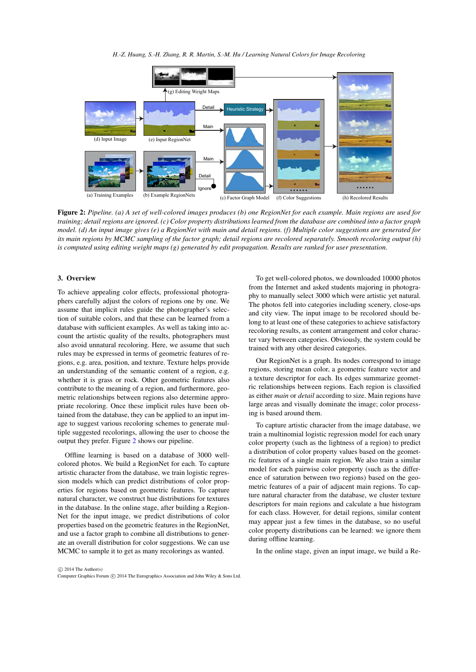*H.-Z. Huang, S.-H. Zhang, R. R. Martin, S.-M. Hu / Learning Natural Colors for Image Recoloring*



<span id="page-2-0"></span>Figure 2: *Pipeline. (a) A set of well-colored images produces (b) one RegionNet for each example. Main regions are used for training; detail regions are ignored. (c) Color property distributions learned from the database are combined into a factor graph model. (d) An input image gives (e) a RegionNet with main and detail regions. (f) Multiple color suggestions are generated for its main regions by MCMC sampling of the factor graph; detail regions are recolored separately. Smooth recoloring output (h) is computed using editing weight maps (g) generated by edit propagation. Results are ranked for user presentation.*

# 3. Overview

To achieve appealing color effects, professional photographers carefully adjust the colors of regions one by one. We assume that implicit rules guide the photographer's selection of suitable colors, and that these can be learned from a database with sufficient examples. As well as taking into account the artistic quality of the results, photographers must also avoid unnatural recoloring. Here, we assume that such rules may be expressed in terms of geometric features of regions, e.g. area, position, and texture. Texture helps provide an understanding of the semantic content of a region, e.g. whether it is grass or rock. Other geometric features also contribute to the meaning of a region, and furthermore, geometric relationships between regions also determine appropriate recoloring. Once these implicit rules have been obtained from the database, they can be applied to an input image to suggest various recoloring schemes to generate multiple suggested recolorings, allowing the user to choose the output they prefer. Figure [2](#page-2-0) shows our pipeline.

Offline learning is based on a database of 3000 wellcolored photos. We build a RegionNet for each. To capture artistic character from the database, we train logistic regression models which can predict distributions of color properties for regions based on geometric features. To capture natural character, we construct hue distributions for textures in the database. In the online stage, after building a Region-Net for the input image, we predict distributions of color properties based on the geometric features in the RegionNet, and use a factor graph to combine all distributions to generate an overall distribution for color suggestions. We can use MCMC to sample it to get as many recolorings as wanted.

To get well-colored photos, we downloaded 10000 photos from the Internet and asked students majoring in photography to manually select 3000 which were artistic yet natural. The photos fell into categories including scenery, close-ups and city view. The input image to be recolored should belong to at least one of these categories to achieve satisfactory recoloring results, as content arrangement and color character vary between categories. Obviously, the system could be trained with any other desired categories.

Our RegionNet is a graph. Its nodes correspond to image regions, storing mean color, a geometric feature vector and a texture descriptor for each. Its edges summarize geometric relationships between regions. Each region is classified as either *main* or *detail* according to size. Main regions have large areas and visually dominate the image; color processing is based around them.

To capture artistic character from the image database, we train a multinomial logistic regression model for each unary color property (such as the lightness of a region) to predict a distribution of color property values based on the geometric features of a single main region. We also train a similar model for each pairwise color property (such as the difference of saturation between two regions) based on the geometric features of a pair of adjacent main regions. To capture natural character from the database, we cluster texture descriptors for main regions and calculate a hue histogram for each class. However, for detail regions, similar content may appear just a few times in the database, so no useful color property distributions can be learned: we ignore them during offline learning.

In the online stage, given an input image, we build a Re-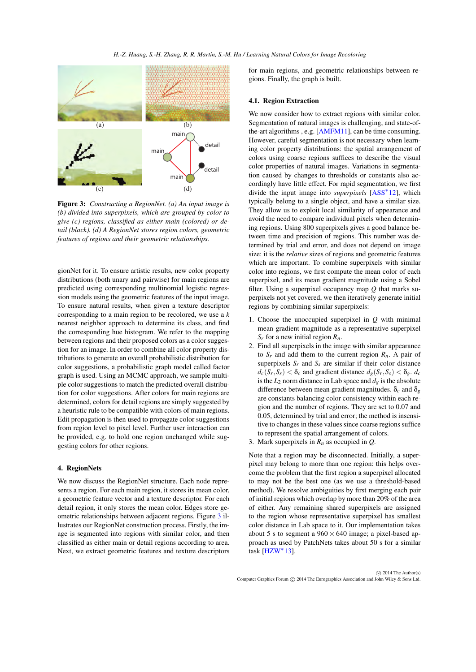<span id="page-3-1"></span>

<span id="page-3-0"></span>Figure 3: *Constructing a RegionNet. (a) An input image is (b) divided into superpixels, which are grouped by color to give (c) regions, classified as either main (colored) or detail (black). (d) A RegionNet stores region colors, geometric features of regions and their geometric relationships.*

gionNet for it. To ensure artistic results, new color property distributions (both unary and pairwise) for main regions are predicted using corresponding multinomial logistic regression models using the geometric features of the input image. To ensure natural results, when given a texture descriptor corresponding to a main region to be recolored, we use a *k* nearest neighbor approach to determine its class, and find the corresponding hue histogram. We refer to the mapping between regions and their proposed colors as a color suggestion for an image. In order to combine all color property distributions to generate an overall probabilistic distribution for color suggestions, a probabilistic graph model called factor graph is used. Using an MCMC approach, we sample multiple color suggestions to match the predicted overall distribution for color suggestions. After colors for main regions are determined, colors for detail regions are simply suggested by a heuristic rule to be compatible with colors of main regions. Edit propagation is then used to propagate color suggestions from region level to pixel level. Further user interaction can be provided, e.g. to hold one region unchanged while suggesting colors for other regions.

# 4. RegionNets

We now discuss the RegionNet structure. Each node represents a region. For each main region, it stores its mean color, a geometric feature vector and a texture descriptor. For each detail region, it only stores the mean color. Edges store geometric relationships between adjacent regions. Figure [3](#page-3-0) illustrates our RegionNet construction process. Firstly, the image is segmented into regions with similar color, and then classified as either main or detail regions according to area. Next, we extract geometric features and texture descriptors for main regions, and geometric relationships between regions. Finally, the graph is built.

# 4.1. Region Extraction

We now consider how to extract regions with similar color. Segmentation of natural images is challenging, and state-ofthe-art algorithms , e.g. [\[AMFM11\]](#page-9-22), can be time consuming. However, careful segmentation is not necessary when learning color property distributions: the spatial arrangement of colors using coarse regions suffices to describe the visual color properties of natural images. Variations in segmentation caused by changes to thresholds or constants also accordingly have little effect. For rapid segmentation, we first divide the input image into *superpixels* [\[ASS](#page-9-23)<sup>∗</sup> 12], which typically belong to a single object, and have a similar size. They allow us to exploit local similarity of appearance and avoid the need to compare individual pixels when determining regions. Using 800 superpixels gives a good balance between time and precision of regions. This number was determined by trial and error, and does not depend on image size: it is the *relative* sizes of regions and geometric features which are important. To combine superpixels with similar color into regions, we first compute the mean color of each superpixel, and its mean gradient magnitude using a Sobel filter. Using a superpixel occupancy map *Q* that marks superpixels not yet covered, we then iteratively generate initial regions by combining similar superpixels:

- 1. Choose the unoccupied superpixel in *Q* with minimal mean gradient magnitude as a representative superpixel *Sr* for a new initial region *Rn*.
- 2. Find all superpixels in the image with similar appearance to  $S_r$  and add them to the current region  $R_n$ . A pair of superpixels  $S_r$  and  $S_s$  are similar if their color distance  $d_c(S_r, S_s) < \delta_c$  and gradient distance  $d_e(S_r, S_s) < \delta_g$ .  $d_c$ is the  $L_2$  norm distance in Lab space and  $d<sub>g</sub>$  is the absolute difference between mean gradient magnitudes. δ*c* and δ*g* are constants balancing color consistency within each region and the number of regions. They are set to 0.07 and 0.05, determined by trial and error; the method is insensitive to changes in these values since coarse regions suffice to represent the spatial arrangement of colors.
- 3. Mark superpixels in *Rn* as occupied in *Q*.

Note that a region may be disconnected. Initially, a superpixel may belong to more than one region: this helps overcome the problem that the first region a superpixel allocated to may not be the best one (as we use a threshold-based method). We resolve ambiguities by first merging each pair of initial regions which overlap by more than 20% of the area of either. Any remaining shared superpixels are assigned to the region whose representative superpixel has smallest color distance in Lab space to it. Our implementation takes about 5 s to segment a  $960 \times 640$  image; a pixel-based approach as used by PatchNets takes about 50 s for a similar task [\[HZW](#page-9-17)<sup>∗</sup> 13].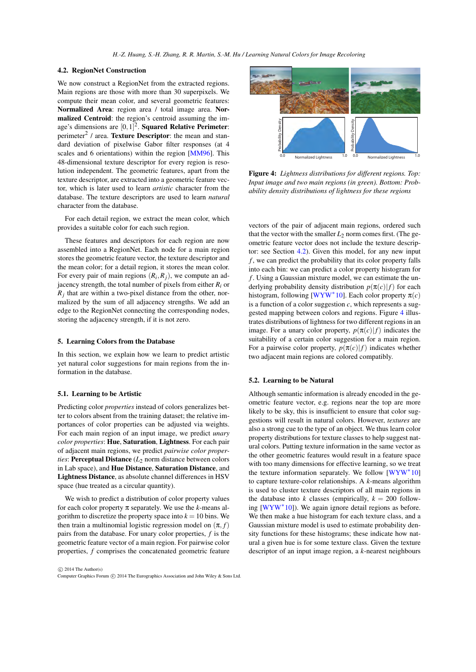#### <span id="page-4-2"></span><span id="page-4-0"></span>4.2. RegionNet Construction

We now construct a RegionNet from the extracted regions. Main regions are those with more than 30 superpixels. We compute their mean color, and several geometric features: Normalized Area: region area / total image area. Normalized Centroid: the region's centroid assuming the image's dimensions are  $[0,1]^2$ . Squared Relative Perimeter: perimeter<sup>2</sup> / area. Texture Descriptor: the mean and standard deviation of pixelwise Gabor filter responses (at 4 scales and 6 orientations) within the region [\[MM96\]](#page-9-24). This 48-dimensional texture descriptor for every region is resolution independent. The geometric features, apart from the texture descriptor, are extracted into a geometric feature vector, which is later used to learn *artistic* character from the database. The texture descriptors are used to learn *natural* character from the database.

For each detail region, we extract the mean color, which provides a suitable color for each such region.

These features and descriptors for each region are now assembled into a RegionNet. Each node for a main region stores the geometric feature vector, the texture descriptor and the mean color; for a detail region, it stores the mean color. For every pair of main regions  $(R_i, R_j)$ , we compute an adjacency strength, the total number of pixels from either  $R_i$  or  $R_j$  that are within a two-pixel distance from the other, normalized by the sum of all adjacency strengths. We add an edge to the RegionNet connecting the corresponding nodes, storing the adjacency strength, if it is not zero.

#### 5. Learning Colors from the Database

In this section, we explain how we learn to predict artistic yet natural color suggestions for main regions from the information in the database.

#### 5.1. Learning to be Artistic

Predicting color *properties* instead of colors generalizes better to colors absent from the training dataset; the relative importances of color properties can be adjusted via weights. For each main region of an input image, we predict *unary color properties*: Hue, Saturation, Lightness. For each pair of adjacent main regions, we predict *pairwise color properties*: **Perceptual Distance**  $(L_2$  norm distance between colors in Lab space), and Hue Distance, Saturation Distance, and Lightness Distance, as absolute channel differences in HSV space (hue treated as a circular quantity).

We wish to predict a distribution of color property values for each color property  $\pi$  separately. We use the *k*-means algorithm to discretize the property space into  $k = 10$  bins. We then train a multinomial logistic regression model on  $(\pi, f)$ pairs from the database. For unary color properties, *f* is the geometric feature vector of a main region. For pairwise color properties, *f* comprises the concatenated geometric feature







<span id="page-4-1"></span>Figure 4: *Lightness distributions for different regions. Top: Input image and two main regions (in green). Bottom: Probability density distributions of lightness for these regions*

vectors of the pair of adjacent main regions, ordered such that the vector with the smaller  $L_2$  norm comes first. (The geometric feature vector does not include the texture descriptor: see Section [4.2\)](#page-4-0). Given this model, for any new input *f* , we can predict the probability that its color property falls into each bin: we can predict a color property histogram for *f* . Using a Gaussian mixture model, we can estimate the underlying probability density distribution  $p(\pi(c)|f)$  for each histogram, following [\[WYW](#page-9-13)<sup>∗</sup> 10]. Each color property π(*c*) is a function of a color suggestion *c*, which represents a suggested mapping between colors and regions. Figure [4](#page-4-1) illustrates distributions of lightness for two different regions in an image. For a unary color property,  $p(\pi(c)|f)$  indicates the suitability of a certain color suggestion for a main region. For a pairwise color property,  $p(\pi(c)|f)$  indicates whether two adjacent main regions are colored compatibly.

# 5.2. Learning to be Natural

Although semantic information is already encoded in the geometric feature vector, e.g. regions near the top are more likely to be sky, this is insufficient to ensure that color suggestions will result in natural colors. However, *textures* are also a strong cue to the type of an object. We thus learn color property distributions for texture classes to help suggest natural colors. Putting texture information in the same vector as the other geometric features would result in a feature space with too many dimensions for effective learning, so we treat the texture information separately. We follow [\[WYW](#page-9-13)<sup>∗</sup> 10] to capture texture-color relationships. A *k*-means algorithm is used to cluster texture descriptors of all main regions in the database into  $k$  classes (empirically,  $k = 200$  following [\[WYW](#page-9-13)<sup>∗</sup> 10]). We again ignore detail regions as before. We then make a hue histogram for each texture class, and a Gaussian mixture model is used to estimate probability density functions for these histograms; these indicate how natural a given hue is for some texture class. Given the texture descriptor of an input image region, a *k*-nearest neighbours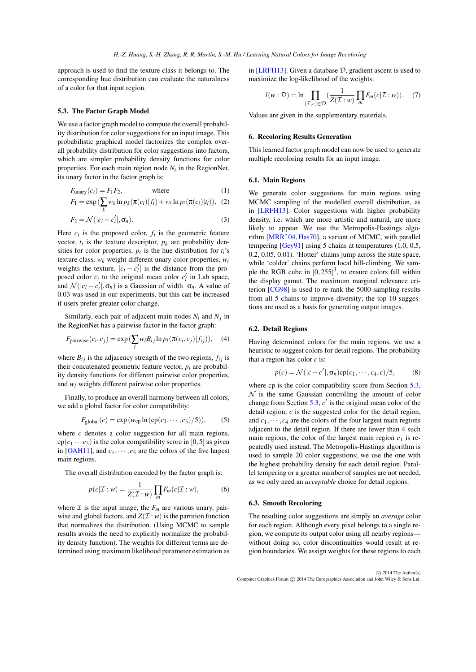<span id="page-5-1"></span>approach is used to find the texture class it belongs to. The corresponding hue distribution can evaluate the naturalness of a color for that input region.

#### <span id="page-5-0"></span>5.3. The Factor Graph Model

We use a factor graph model to compute the overall probability distribution for color suggestions for an input image. This probabilistic graphical model factorizes the complex overall probability distribution for color suggestions into factors, which are simpler probability density functions for color properties. For each main region node  $N_i$  in the RegionNet, its unary factor in the factor graph is:

$$
F_{\text{unary}}(c_i) = F_1 F_2, \qquad \text{where} \qquad (1)
$$

$$
F_1 = \exp\left(\sum_k w_k \ln p_k(\pi(c_i)|f_i) + w_l \ln p_t(\pi(c_i)|t_i)\right), (2)
$$

$$
F_2 = \mathcal{N}(|c_i - c'_i|, \sigma_n). \tag{3}
$$

Here  $c_i$  is the proposed color,  $f_i$  is the geometric feature vector,  $t_i$  is the texture descriptor,  $p_k$  are probability densities for color properties,  $p_t$  is the hue distribution for  $t_i$ 's texture class,  $w_k$  weight different unary color properties,  $w_t$ weights the texture,  $|c_i - c'_i|$  is the distance from the proposed color  $c_i$  to the original mean color  $c'_i$  in Lab space, and  $\mathcal{N}(|c_i - c'_i|, \sigma_n)$  is a Gaussian of width  $\sigma_n$ . A value of 0.03 was used in our experiments, but this can be increased if users prefer greater color change.

Similarly, each pair of adjacent main nodes  $N_i$  and  $N_j$  in the RegionNet has a pairwise factor in the factor graph:

$$
F_{\text{pairwise}}(c_i, c_j) = \exp\left(\sum_l w_l B_{ij} \ln p_l(\pi(c_i, c_j) | f_{ij})\right), \quad (4)
$$

where  $B_{ij}$  is the adjacency strength of the two regions,  $f_{ij}$  is their concatenated geometric feature vector,  $p_l$  are probability density functions for different pairwise color properties, and  $w_l$  weights different pairwise color properties.

Finally, to produce an overall harmony between all colors, we add a global factor for color compatibility:

$$
F_{\text{global}}(c) = \exp(w_{\text{cp}} \ln(\text{cp}(c_1, \cdots, c_5)/5)), \tag{5}
$$

where *c* denotes a color suggestion for all main regions,  $cp(c_1 \cdots c_5)$  is the color compatibility score in [0,5] as given in [\[OAH11\]](#page-9-25), and  $c_1$ ,  $\cdots$ ,  $c_5$  are the colors of the five largest main regions.

The overall distribution encoded by the factor graph is:

$$
p(c|\mathcal{I}:w) = \frac{1}{Z(\mathcal{I}:w)} \prod_{m} F_m(c|\mathcal{I}:w), \tag{6}
$$

where  $\mathcal I$  is the input image, the  $F_m$  are various unary, pairwise and global factors, and  $Z(\mathcal{I}: w)$  is the partition function that normalizes the distribution. (Using MCMC to sample results avoids the need to explicitly normalize the probability density function). The weights for different terms are determined using maximum likelihood parameter estimation as in [\[LRFH13\]](#page-9-2). Given a database  $D$ , gradient ascent is used to maximize the log-likelihood of the weights:

$$
l(w : \mathcal{D}) = \ln \prod_{(\mathcal{I},c) \in \mathcal{D}} \left( \frac{1}{Z(\mathcal{I}:w)} \prod_{m} F_m(c|\mathcal{I}:w) \right). \tag{7}
$$

Values are given in the supplementary materials.

## 6. Recoloring Results Generation

This learned factor graph model can now be used to generate multiple recoloring results for an input image.

## 6.1. Main Regions

We generate color suggestions for main regions using MCMC sampling of the modelled overall distribution, as in [\[LRFH13\]](#page-9-2). Color suggestions with higher probability density, i.e. which are more artistic and natural, are more likely to appear. We use the Metropolis-Hastings algo-rithm [\[MRR](#page-9-26)<sup>∗</sup>04, [Has70\]](#page-9-27), a variant of MCMC, with parallel tempering [\[Gey91\]](#page-9-28) using 5 chains at temperatures (1.0, 0.5, 0.2, 0.05, 0.01). 'Hotter' chains jump across the state space, while 'colder' chains perform local hill-climbing. We sample the RGB cube in  $[0, 255]^3$ , to ensure colors fall within the display gamut. The maximum marginal relevance criterion [\[CG98\]](#page-9-29) is used to re-rank the 5000 sampling results from all 5 chains to improve diversity; the top 10 suggestions are used as a basis for generating output images.

#### 6.2. Detail Regions

Having determined colors for the main regions, we use a heuristic to suggest colors for detail regions. The probability that a region has color *c* is:

$$
p(c) = \mathcal{N}(|c - c'|, \sigma_n) \text{cp}(c_1, \cdots, c_4, c) / 5, \quad (8)
$$

where cp is the color compatibility score from Section [5.3,](#page-5-0)  $\mathcal N$  is the same Gaussian controlling the amount of color change from Section  $5.3$ ,  $c'$  is the original mean color of the detail region, *c* is the suggested color for the detail region, and  $c_1, \dots, c_4$  are the colors of the four largest main regions adjacent to the detail region. If there are fewer than 4 such main regions, the color of the largest main region  $c_1$  is repeatedly used instead. The Metropolis-Hastings algorithm is used to sample 20 color suggestions; we use the one with the highest probability density for each detail region. Parallel tempering or a greater number of samples are not needed, as we only need an *acceptable* choice for detail regions.

### 6.3. Smooth Recoloring

The resulting color suggestions are simply an *average* color for each region. Although every pixel belongs to a single region, we compute its output color using all nearby regions without doing so, color discontinuities would result at region boundaries. We assign weights for these regions to each

 $\circled{c}$  2014 The Author(s) Computer Graphics Forum  $\odot$  2014 The Eurographics Association and John Wiley & Sons Ltd.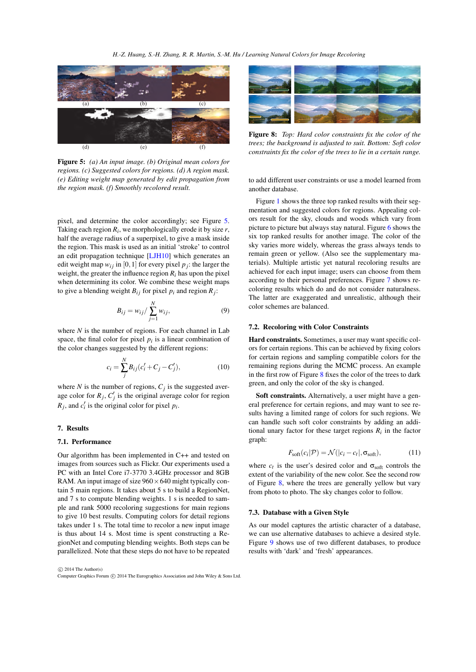<span id="page-6-2"></span>

<span id="page-6-0"></span>Figure 5: *(a) An input image. (b) Original mean colors for regions. (c) Suggested colors for regions. (d) A region mask. (e) Editing weight map generated by edit propagation from the region mask. (f) Smoothly recolored result.*

pixel, and determine the color accordingly; see Figure [5.](#page-6-0) Taking each region  $R_i$ , we morphologically erode it by size  $r$ , half the average radius of a superpixel, to give a mask inside the region. This mask is used as an initial 'stroke' to control an edit propagation technique [\[LJH10\]](#page-9-21) which generates an edit weight map  $w_{ij}$  in [0, 1] for every pixel  $p_j$ : the larger the weight, the greater the influence region  $R_i$  has upon the pixel when determining its color. We combine these weight maps to give a blending weight  $B_{ij}$  for pixel  $p_i$  and region  $R_j$ :

$$
B_{ij} = w_{ij} / \sum_{j=1}^{N} w_{ij},
$$
\n(9)

where *N* is the number of regions. For each channel in Lab space, the final color for pixel  $p_i$  is a linear combination of the color changes suggested by the different regions:

$$
c_i = \sum_{j}^{N} B_{ij} (c'_i + C_j - C'_j),
$$
 (10)

where *N* is the number of regions,  $C_j$  is the suggested average color for  $R_j$ ,  $C'_j$  is the original average color for region  $R_j$ , and  $c'_i$  is the original color for pixel  $p_i$ .

# 7. Results

#### 7.1. Performance

Our algorithm has been implemented in C++ and tested on images from sources such as Flickr. Our experiments used a PC with an Intel Core i7-3770 3.4GHz processor and 8GB RAM. An input image of size  $960 \times 640$  might typically contain 5 main regions. It takes about 5 s to build a RegionNet, and 7 s to compute blending weights. 1 s is needed to sample and rank 5000 recoloring suggestions for main regions to give 10 best results. Computing colors for detail regions takes under 1 s. The total time to recolor a new input image is thus about 14 s. Most time is spent constructing a RegionNet and computing blending weights. Both steps can be parallelized. Note that these steps do not have to be repeated



<span id="page-6-1"></span>Figure 8: *Top: Hard color constraints fix the color of the trees; the background is adjusted to suit. Bottom: Soft color constraints fix the color of the trees to lie in a certain range.*

to add different user constraints or use a model learned from another database.

Figure [1](#page-0-0) shows the three top ranked results with their segmentation and suggested colors for regions. Appealing colors result for the sky, clouds and woods which vary from picture to picture but always stay natural. Figure [6](#page-7-0) shows the six top ranked results for another image. The color of the sky varies more widely, whereas the grass always tends to remain green or yellow. (Also see the supplementary materials). Multiple artistic yet natural recoloring results are achieved for each input image; users can choose from them according to their personal preferences. Figure [7](#page-7-1) shows recoloring results which do and do not consider naturalness. The latter are exaggerated and unrealistic, although their color schemes are balanced.

# 7.2. Recoloring with Color Constraints

Hard constraints. Sometimes, a user may want specific colors for certain regions. This can be achieved by fixing colors for certain regions and sampling compatible colors for the remaining regions during the MCMC process. An example in the first row of Figure [8](#page-6-1) fixes the color of the trees to dark green, and only the color of the sky is changed.

Soft constraints. Alternatively, a user might have a general preference for certain regions, and may want to see results having a limited range of colors for such regions. We can handle such soft color constraints by adding an additional unary factor for these target regions  $R_i$  in the factor graph:

$$
F_{\text{soft}}(c_i|\mathcal{P}) = \mathcal{N}(|c_i - c_t|, \sigma_{\text{soft}}),\tag{11}
$$

where  $c_t$  is the user's desired color and  $\sigma_{\text{soft}}$  controls the extent of the variability of the new color. See the second row of Figure [8,](#page-6-1) where the trees are generally yellow but vary from photo to photo. The sky changes color to follow.

## 7.3. Database with a Given Style

As our model captures the artistic character of a database, we can use alternative databases to achieve a desired style. Figure [9](#page-7-2) shows use of two different databases, to produce results with 'dark' and 'fresh' appearances.

 $\odot$  2014 The Author(s) Computer Graphics Forum  $\odot$  2014 The Eurographics Association and John Wiley & Sons Ltd.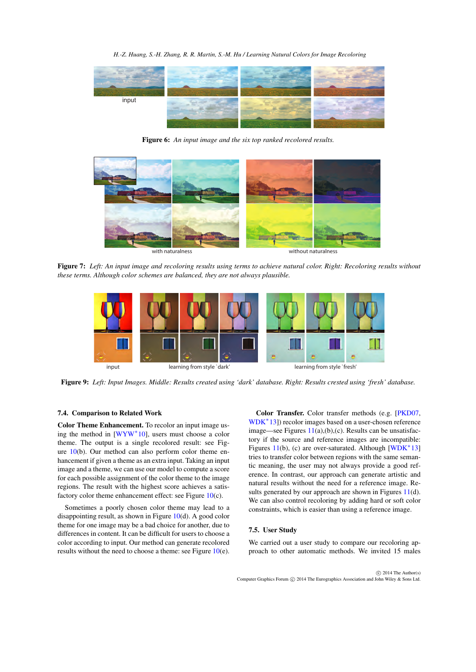<span id="page-7-3"></span>*H.-Z. Huang, S.-H. Zhang, R. R. Martin, S.-M. Hu / Learning Natural Colors for Image Recoloring*



Figure 6: *An input image and the six top ranked recolored results.*

<span id="page-7-0"></span>

Figure 7: *Left: An input image and recoloring results using terms to achieve natural color. Right: Recoloring results without these terms. Although color schemes are balanced, they are not always plausible.*

<span id="page-7-1"></span>

<span id="page-7-2"></span>Figure 9: *Left: Input Images. Middle: Results created using 'dark' database. Right: Results crested using 'fresh' database.*

# 7.4. Comparison to Related Work

Color Theme Enhancement. To recolor an input image using the method in [\[WYW](#page-9-13)<sup>∗</sup> 10], users must choose a color theme. The output is a single recolored result: see Figure  $10(b)$  $10(b)$ . Our method can also perform color theme enhancement if given a theme as an extra input. Taking an input image and a theme, we can use our model to compute a score for each possible assignment of the color theme to the image regions. The result with the highest score achieves a satisfactory color theme enhancement effect: see Figure [10\(](#page-8-0)c).

Sometimes a poorly chosen color theme may lead to a disappointing result, as shown in Figure [10\(](#page-8-0)d). A good color theme for one image may be a bad choice for another, due to differences in content. It can be difficult for users to choose a color according to input. Our method can generate recolored results without the need to choose a theme: see Figure [10\(](#page-8-0)e).

Color Transfer. Color transfer methods (e.g. [\[PKD07,](#page-9-5) [WDK](#page-9-6)<sup>∗</sup> 13]) recolor images based on a user-chosen reference image—see Figures [11\(](#page-8-1)a),(b),(c). Results can be unsatisfactory if the source and reference images are incompatible: Figures [11\(](#page-8-1)b), (c) are over-saturated. Although [\[WDK](#page-9-6)<sup>\*</sup>13] tries to transfer color between regions with the same semantic meaning, the user may not always provide a good reference. In contrast, our approach can generate artistic and natural results without the need for a reference image. Re-sults generated by our approach are shown in Figures [11\(](#page-8-1)d). We can also control recoloring by adding hard or soft color constraints, which is easier than using a reference image.

## 7.5. User Study

We carried out a user study to compare our recoloring approach to other automatic methods. We invited 15 males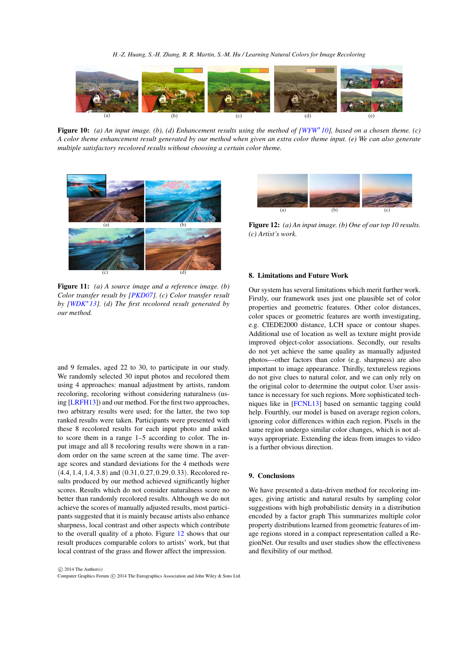*H.-Z. Huang, S.-H. Zhang, R. R. Martin, S.-M. Hu / Learning Natural Colors for Image Recoloring*

<span id="page-8-3"></span>

<span id="page-8-0"></span>Figure 10: (a) An input image. (b), (d) Enhancement results using the method of [\[WYW](#page-9-13)<sup>\*</sup>10], based on a chosen theme. (c) *A color theme enhancement result generated by our method when given an extra color theme input. (e) We can also generate multiple satisfactory recolored results without choosing a certain color theme.*



<span id="page-8-1"></span>Figure 11: *(a) A source image and a reference image. (b) Color transfer result by [\[PKD07\]](#page-9-5). (c) Color transfer result by [\[WDK](#page-9-6)*<sup>∗</sup> *13]. (d) The first recolored result generated by our method.*

and 9 females, aged 22 to 30, to participate in our study. We randomly selected 30 input photos and recolored them using 4 approaches: manual adjustment by artists, random recoloring, recoloring without considering naturalness (using [\[LRFH13\]](#page-9-2)) and our method. For the first two approaches, two arbitrary results were used; for the latter, the two top ranked results were taken. Participants were presented with these 8 recolored results for each input photo and asked to score them in a range 1–5 according to color. The input image and all 8 recoloring results were shown in a random order on the same screen at the same time. The average scores and standard deviations for the 4 methods were  $(4.4, 1.4, 1.4, 3.8)$  and  $(0.31, 0.27, 0.29, 0.33)$ . Recolored results produced by our method achieved significantly higher scores. Results which do not consider naturalness score no better than randomly recolored results. Although we do not achieve the scores of manually adjusted results, most participants suggested that it is mainly because artists also enhance sharpness, local contrast and other aspects which contribute to the overall quality of a photo. Figure [12](#page-8-2) shows that our result produces comparable colors to artists' work, but that local contrast of the grass and flower affect the impression.

<span id="page-8-2"></span>

Figure 12: *(a) An input image. (b) One of our top 10 results. (c) Artist's work.*

# 8. Limitations and Future Work

Our system has several limitations which merit further work. Firstly, our framework uses just one plausible set of color properties and geometric features. Other color distances, color spaces or geometric features are worth investigating, e.g. CIEDE2000 distance, LCH space or contour shapes. Additional use of location as well as texture might provide improved object-color associations. Secondly, our results do not yet achieve the same quality as manually adjusted photos—other factors than color (e.g. sharpness) are also important to image appearance. Thirdly, textureless regions do not give clues to natural color, and we can only rely on the original color to determine the output color. User assistance is necessary for such regions. More sophisticated techniques like in [\[FCNL13\]](#page-9-30) based on semantic tagging could help. Fourthly, our model is based on average region colors, ignoring color differences within each region. Pixels in the same region undergo similar color changes, which is not always appropriate. Extending the ideas from images to video is a further obvious direction.

# 9. Conclusions

We have presented a data-driven method for recoloring images, giving artistic and natural results by sampling color suggestions with high probabilistic density in a distribution encoded by a factor graph This summarizes multiple color property distributions learned from geometric features of image regions stored in a compact representation called a RegionNet. Our results and user studies show the effectiveness and flexibility of our method.